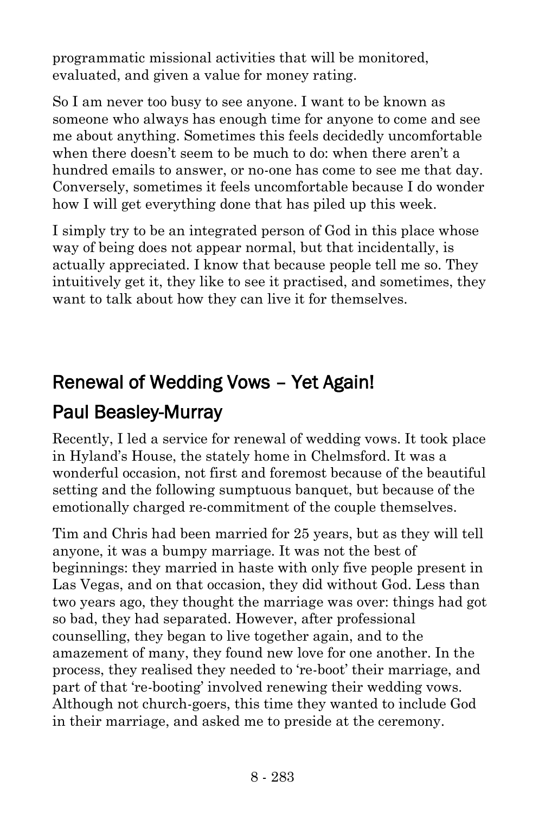programmatic missional activities that will be monitored, evaluated, and given a value for money rating.

So I am never too busy to see anyone. I want to be known as someone who always has enough time for anyone to come and see me about anything. Sometimes this feels decidedly uncomfortable when there doesn't seem to be much to do: when there aren't a hundred emails to answer, or no-one has come to see me that day. Conversely, sometimes it feels uncomfortable because I do wonder how I will get everything done that has piled up this week.

I simply try to be an integrated person of God in this place whose way of being does not appear normal, but that incidentally, is actually appreciated. I know that because people tell me so. They intuitively get it, they like to see it practised, and sometimes, they want to talk about how they can live it for themselves.

# Renewal of Wedding Vows – Yet Again!

# Paul Beasley-Murray

Recently, I led a service for renewal of wedding vows. It took place in Hyland's House, the stately home in Chelmsford. It was a wonderful occasion, not first and foremost because of the beautiful setting and the following sumptuous banquet, but because of the emotionally charged re-commitment of the couple themselves.

Tim and Chris had been married for 25 years, but as they will tell anyone, it was a bumpy marriage. It was not the best of beginnings: they married in haste with only five people present in Las Vegas, and on that occasion, they did without God. Less than two years ago, they thought the marriage was over: things had got so bad, they had separated. However, after professional counselling, they began to live together again, and to the amazement of many, they found new love for one another. In the process, they realised they needed to 're-boot' their marriage, and part of that 're-booting' involved renewing their wedding vows. Although not church-goers, this time they wanted to include God in their marriage, and asked me to preside at the ceremony.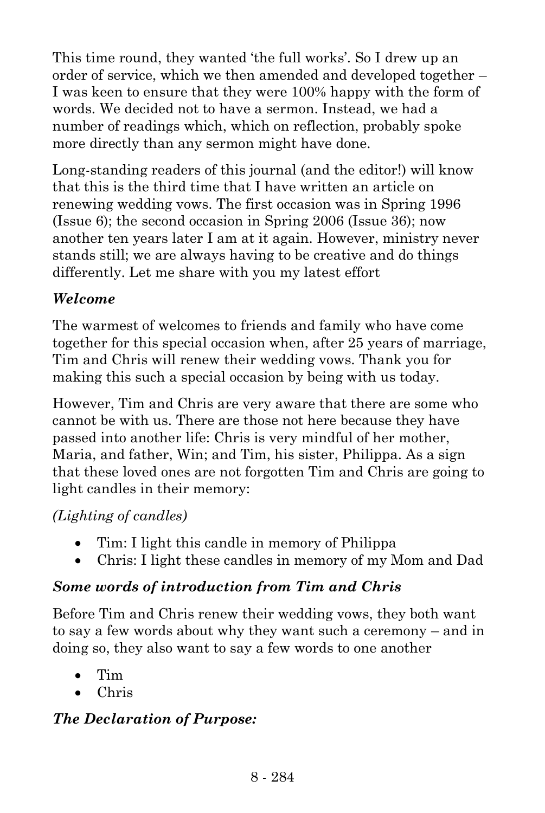This time round, they wanted 'the full works'. So I drew up an order of service, which we then amended and developed together – I was keen to ensure that they were 100% happy with the form of words. We decided not to have a sermon. Instead, we had a number of readings which, which on reflection, probably spoke more directly than any sermon might have done.

Long-standing readers of this journal (and the editor!) will know that this is the third time that I have written an article on renewing wedding vows. The first occasion was in Spring 1996 (Issue 6); the second occasion in Spring 2006 (Issue 36); now another ten years later I am at it again. However, ministry never stands still; we are always having to be creative and do things differently. Let me share with you my latest effort

#### *Welcome*

The warmest of welcomes to friends and family who have come together for this special occasion when, after 25 years of marriage, Tim and Chris will renew their wedding vows. Thank you for making this such a special occasion by being with us today.

However, Tim and Chris are very aware that there are some who cannot be with us. There are those not here because they have passed into another life: Chris is very mindful of her mother, Maria, and father, Win; and Tim, his sister, Philippa. As a sign that these loved ones are not forgotten Tim and Chris are going to light candles in their memory:

# *(Lighting of candles)*

- Tim: I light this candle in memory of Philippa
- Chris: I light these candles in memory of my Mom and Dad

# *Some words of introduction from Tim and Chris*

Before Tim and Chris renew their wedding vows, they both want to say a few words about why they want such a ceremony – and in doing so, they also want to say a few words to one another

- Tim
- Chris

# *The Declaration of Purpose:*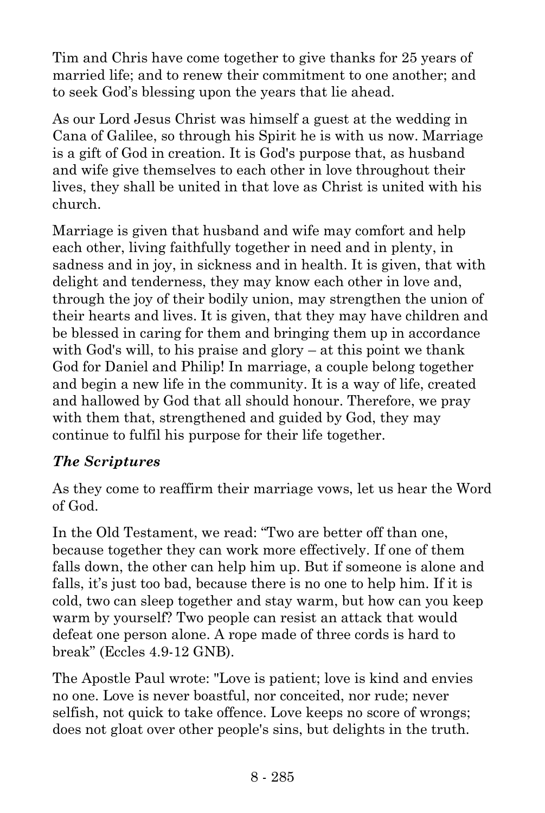Tim and Chris have come together to give thanks for 25 years of married life; and to renew their commitment to one another; and to seek God's blessing upon the years that lie ahead.

As our Lord Jesus Christ was himself a guest at the wedding in Cana of Galilee, so through his Spirit he is with us now. Marriage is a gift of God in creation. It is God's purpose that, as husband and wife give themselves to each other in love throughout their lives, they shall be united in that love as Christ is united with his church.

Marriage is given that husband and wife may comfort and help each other, living faithfully together in need and in plenty, in sadness and in joy, in sickness and in health. It is given, that with delight and tenderness, they may know each other in love and, through the joy of their bodily union, may strengthen the union of their hearts and lives. It is given, that they may have children and be blessed in caring for them and bringing them up in accordance with God's will, to his praise and glory – at this point we thank God for Daniel and Philip! In marriage, a couple belong together and begin a new life in the community. It is a way of life, created and hallowed by God that all should honour. Therefore, we pray with them that, strengthened and guided by God, they may continue to fulfil his purpose for their life together.

#### *The Scriptures*

As they come to reaffirm their marriage vows, let us hear the Word of God.

In the Old Testament, we read: "Two are better off than one, because together they can work more effectively. If one of them falls down, the other can help him up. But if someone is alone and falls, it's just too bad, because there is no one to help him. If it is cold, two can sleep together and stay warm, but how can you keep warm by yourself? Two people can resist an attack that would defeat one person alone. A rope made of three cords is hard to break" (Eccles 4.9-12 GNB).

The Apostle Paul wrote: "Love is patient; love is kind and envies no one. Love is never boastful, nor conceited, nor rude; never selfish, not quick to take offence. Love keeps no score of wrongs; does not gloat over other people's sins, but delights in the truth.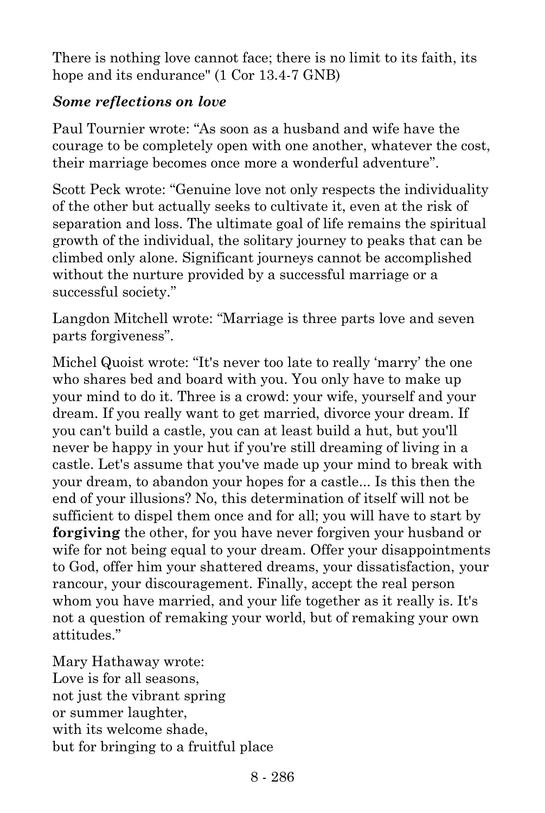There is nothing love cannot face; there is no limit to its faith, its hope and its endurance" (1 Cor 13.4-7 GNB)

#### *Some reflections on love*

Paul Tournier wrote: "As soon as a husband and wife have the courage to be completely open with one another, whatever the cost, their marriage becomes once more a wonderful adventure".

Scott Peck wrote: "Genuine love not only respects the individuality of the other but actually seeks to cultivate it, even at the risk of separation and loss. The ultimate goal of life remains the spiritual growth of the individual, the solitary journey to peaks that can be climbed only alone. Significant journeys cannot be accomplished without the nurture provided by a successful marriage or a successful society."

Langdon Mitchell wrote: "Marriage is three parts love and seven parts forgiveness".

Michel Quoist wrote: "It's never too late to really 'marry' the one who shares bed and board with you. You only have to make up your mind to do it. Three is a crowd: your wife, yourself and your dream. If you really want to get married, divorce your dream. If you can't build a castle, you can at least build a hut, but you'll never be happy in your hut if you're still dreaming of living in a castle. Let's assume that you've made up your mind to break with your dream, to abandon your hopes for a castle... Is this then the end of your illusions? No, this determination of itself will not be sufficient to dispel them once and for all; you will have to start by **forgiving** the other, for you have never forgiven your husband or wife for not being equal to your dream. Offer your disappointments to God, offer him your shattered dreams, your dissatisfaction, your rancour, your discouragement. Finally, accept the real person whom you have married, and your life together as it really is. It's not a question of remaking your world, but of remaking your own attitudes."

Mary Hathaway wrote: Love is for all seasons, not just the vibrant spring or summer laughter, with its welcome shade, but for bringing to a fruitful place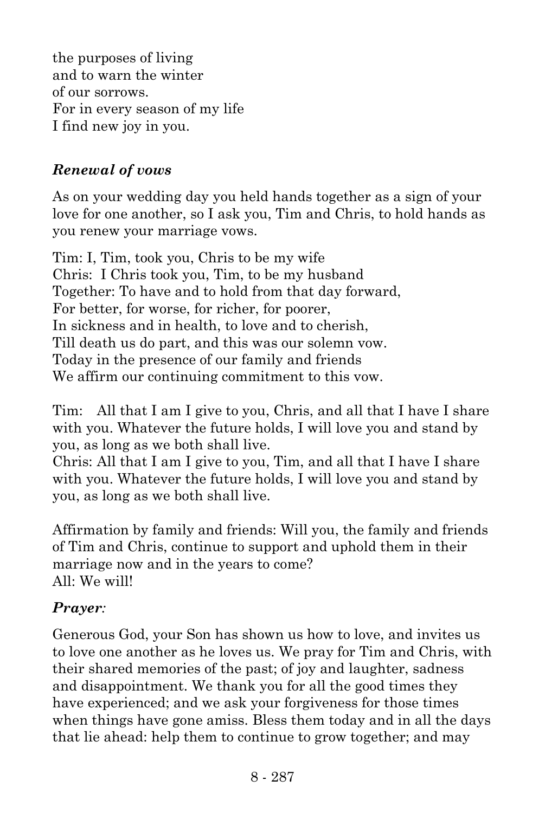the purposes of living and to warn the winter of our sorrows. For in every season of my life I find new joy in you.

#### *Renewal of vows*

As on your wedding day you held hands together as a sign of your love for one another, so I ask you, Tim and Chris, to hold hands as you renew your marriage vows.

Tim: I, Tim, took you, Chris to be my wife Chris: I Chris took you, Tim, to be my husband Together: To have and to hold from that day forward, For better, for worse, for richer, for poorer, In sickness and in health, to love and to cherish, Till death us do part, and this was our solemn vow. Today in the presence of our family and friends We affirm our continuing commitment to this vow.

Tim: All that I am I give to you, Chris, and all that I have I share with you. Whatever the future holds, I will love you and stand by you, as long as we both shall live.

Chris: All that I am I give to you, Tim, and all that I have I share with you. Whatever the future holds, I will love you and stand by you, as long as we both shall live.

Affirmation by family and friends: Will you, the family and friends of Tim and Chris, continue to support and uphold them in their marriage now and in the years to come? All: We will!

#### *Prayer:*

Generous God, your Son has shown us how to love, and invites us to love one another as he loves us. We pray for Tim and Chris, with their shared memories of the past; of joy and laughter, sadness and disappointment. We thank you for all the good times they have experienced; and we ask your forgiveness for those times when things have gone amiss. Bless them today and in all the days that lie ahead: help them to continue to grow together; and may